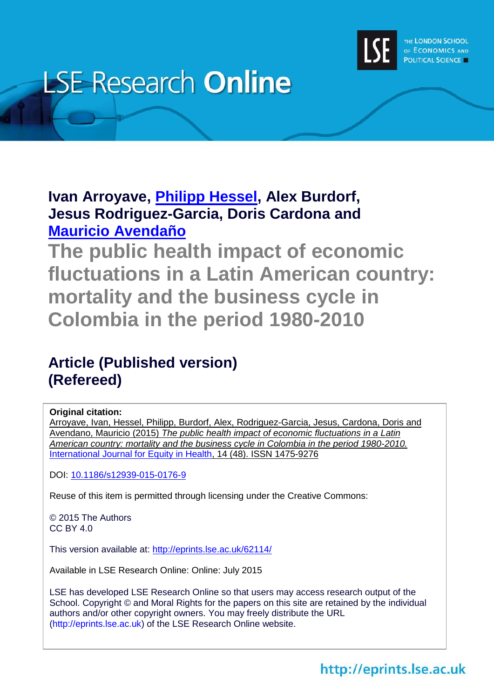

# **LSE Research Online**

**Ivan Arroyave, [Philipp Hessel,](http://www.lse.ac.uk/researchAndExpertise/Experts/profile.aspx?KeyValue=p.hessel@lse.ac.uk) Alex Burdorf, Jesus Rodriguez-Garcia, Doris Cardona and [Mauricio Avendaño](http://www.lse.ac.uk/researchAndExpertise/Experts/profile.aspx?KeyValue=m.avendano-pabon@lse.ac.uk)**

**The public health impact of economic fluctuations in a Latin American country: mortality and the business cycle in Colombia in the period 1980-2010**

### **Article (Published version) (Refereed)**

### **Original citation:**

Arroyave, Ivan, Hessel, Philipp, Burdorf, Alex, Rodriguez-Garcia, Jesus, Cardona, Doris and Avendano, Mauricio (2015) *The public health impact of economic fluctuations in a Latin American country: mortality and the business cycle in Colombia in the period 1980-2010.* [International Journal for Equity in Health,](http://www.equityhealthj.com/) 14 (48). ISSN 1475-9276

DOI: [10.1186/s12939-015-0176-9](http://dx.doi.org/10.1186/s12939-015-0176-9)

Reuse of this item is permitted through licensing under the Creative Commons:

© 2015 The Authors CC BY 4.0

This version available at:<http://eprints.lse.ac.uk/62114/>

Available in LSE Research Online: Online: July 2015

LSE has developed LSE Research Online so that users may access research output of the School. Copyright © and Moral Rights for the papers on this site are retained by the individual authors and/or other copyright owners. You may freely distribute the URL (http://eprints.lse.ac.uk) of the LSE Research Online website.

### http://eprints.lse.ac.uk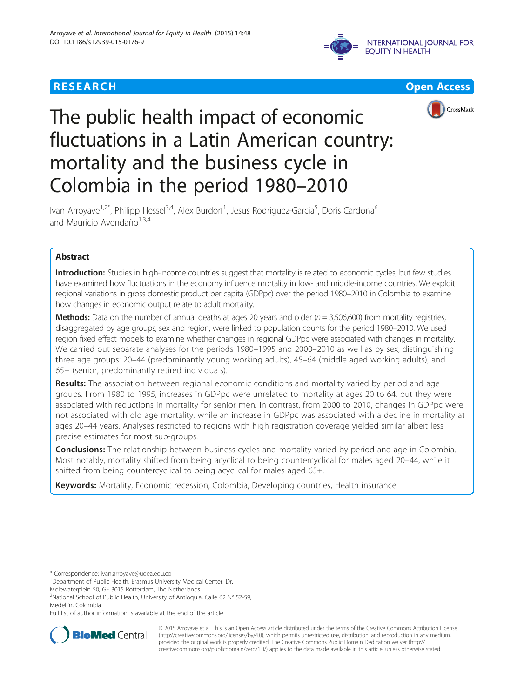





## The public health impact of economic fluctuations in a Latin American country: mortality and the business cycle in Colombia in the period 1980–2010

Ivan Arroyave<sup>1,2\*</sup>, Philipp Hessel<sup>3,4</sup>, Alex Burdorf<sup>1</sup>, Jesus Rodriguez-Garcia<sup>5</sup>, Doris Cardona<sup>6</sup> and Mauricio Avendaño $1,3,4$ 

#### Abstract

Introduction: Studies in high-income countries suggest that mortality is related to economic cycles, but few studies have examined how fluctuations in the economy influence mortality in low- and middle-income countries. We exploit regional variations in gross domestic product per capita (GDPpc) over the period 1980–2010 in Colombia to examine how changes in economic output relate to adult mortality.

Methods: Data on the number of annual deaths at ages 20 years and older ( $n = 3,506,600$ ) from mortality registries, disaggregated by age groups, sex and region, were linked to population counts for the period 1980–2010. We used region fixed effect models to examine whether changes in regional GDPpc were associated with changes in mortality. We carried out separate analyses for the periods 1980–1995 and 2000–2010 as well as by sex, distinguishing three age groups: 20–44 (predominantly young working adults), 45–64 (middle aged working adults), and 65+ (senior, predominantly retired individuals).

Results: The association between regional economic conditions and mortality varied by period and age groups. From 1980 to 1995, increases in GDPpc were unrelated to mortality at ages 20 to 64, but they were associated with reductions in mortality for senior men. In contrast, from 2000 to 2010, changes in GDPpc were not associated with old age mortality, while an increase in GDPpc was associated with a decline in mortality at ages 20–44 years. Analyses restricted to regions with high registration coverage yielded similar albeit less precise estimates for most sub-groups.

**Conclusions:** The relationship between business cycles and mortality varied by period and age in Colombia. Most notably, mortality shifted from being acyclical to being countercyclical for males aged 20–44, while it shifted from being countercyclical to being acyclical for males aged 65+.

Keywords: Mortality, Economic recession, Colombia, Developing countries, Health insurance

Full list of author information is available at the end of the article



© 2015 Arroyave et al. This is an Open Access article distributed under the terms of the Creative Commons Attribution License [\(http://creativecommons.org/licenses/by/4.0\)](http://creativecommons.org/licenses/by/4.0), which permits unrestricted use, distribution, and reproduction in any medium, provided the original work is properly credited. The Creative Commons Public Domain Dedication waiver [\(http://](http://creativecommons.org/publicdomain/zero/1.0/) [creativecommons.org/publicdomain/zero/1.0/\)](http://creativecommons.org/publicdomain/zero/1.0/) applies to the data made available in this article, unless otherwise stated.

<sup>\*</sup> Correspondence: [ivan.arroyave@udea.edu.co](mailto:ivan.arroyave@udea.edu.co) <sup>1</sup>

<sup>&</sup>lt;sup>1</sup> Department of Public Health, Erasmus University Medical Center, Dr.

Molewaterplein 50, GE 3015 Rotterdam, The Netherlands

<sup>&</sup>lt;sup>2</sup>National School of Public Health, University of Antioquia, Calle 62 N° 52-59, Medellín, Colombia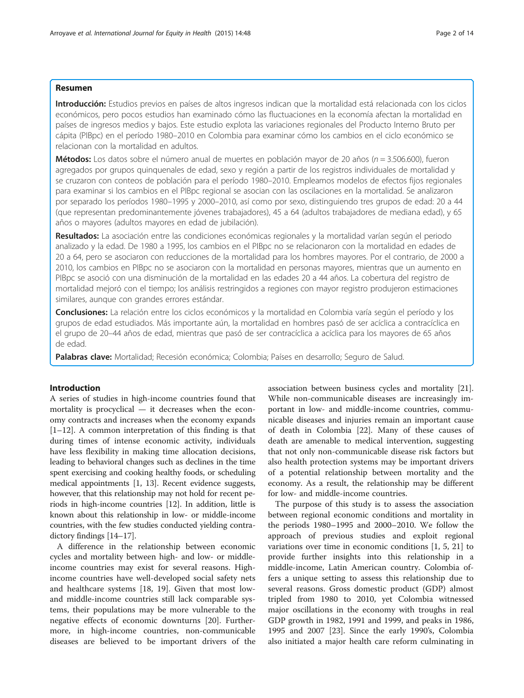#### Resumen

Introducción: Estudios previos en países de altos ingresos indican que la mortalidad está relacionada con los ciclos económicos, pero pocos estudios han examinado cómo las fluctuaciones en la economía afectan la mortalidad en países de ingresos medios y bajos. Este estudio explota las variaciones regionales del Producto Interno Bruto per cápita (PIBpc) en el período 1980–2010 en Colombia para examinar cómo los cambios en el ciclo económico se relacionan con la mortalidad en adultos.

**Métodos:** Los datos sobre el número anual de muertes en población mayor de 20 años ( $n = 3.506.600$ ), fueron agregados por grupos quinquenales de edad, sexo y región a partir de los registros individuales de mortalidad y se cruzaron con conteos de población para el período 1980–2010. Empleamos modelos de efectos fijos regionales para examinar si los cambios en el PIBpc regional se asocian con las oscilaciones en la mortalidad. Se analizaron por separado los períodos 1980–1995 y 2000–2010, así como por sexo, distinguiendo tres grupos de edad: 20 a 44 (que representan predominantemente jóvenes trabajadores), 45 a 64 (adultos trabajadores de mediana edad), y 65 años o mayores (adultos mayores en edad de jubilación).

Resultados: La asociación entre las condiciones económicas regionales y la mortalidad varían según el periodo analizado y la edad. De 1980 a 1995, los cambios en el PIBpc no se relacionaron con la mortalidad en edades de 20 a 64, pero se asociaron con reducciones de la mortalidad para los hombres mayores. Por el contrario, de 2000 a 2010, los cambios en PIBpc no se asociaron con la mortalidad en personas mayores, mientras que un aumento en PIBpc se asoció con una disminución de la mortalidad en las edades 20 a 44 años. La cobertura del registro de mortalidad mejoró con el tiempo; los análisis restringidos a regiones con mayor registro produjeron estimaciones similares, aunque con grandes errores estándar.

Conclusiones: La relación entre los ciclos económicos y la mortalidad en Colombia varía según el período y los grupos de edad estudiados. Más importante aún, la mortalidad en hombres pasó de ser acíclica a contracíclica en el grupo de 20–44 años de edad, mientras que pasó de ser contracíclica a acíclica para los mayores de 65 años de edad.

Palabras clave: Mortalidad; Recesión económica; Colombia; Países en desarrollo; Seguro de Salud.

#### Introduction

A series of studies in high-income countries found that mortality is procyclical — it decreases when the economy contracts and increases when the economy expands  $[1–12]$  $[1–12]$  $[1–12]$  $[1–12]$ . A common interpretation of this finding is that during times of intense economic activity, individuals have less flexibility in making time allocation decisions, leading to behavioral changes such as declines in the time spent exercising and cooking healthy foods, or scheduling medical appointments [\[1](#page-13-0), [13](#page-13-0)]. Recent evidence suggests, however, that this relationship may not hold for recent periods in high-income countries [[12](#page-13-0)]. In addition, little is known about this relationship in low- or middle-income countries, with the few studies conducted yielding contradictory findings [[14](#page-13-0)–[17\]](#page-13-0).

A difference in the relationship between economic cycles and mortality between high- and low- or middleincome countries may exist for several reasons. Highincome countries have well-developed social safety nets and healthcare systems [\[18,](#page-13-0) [19](#page-14-0)]. Given that most lowand middle-income countries still lack comparable systems, their populations may be more vulnerable to the negative effects of economic downturns [\[20](#page-14-0)]. Furthermore, in high-income countries, non-communicable diseases are believed to be important drivers of the association between business cycles and mortality [\[21](#page-14-0)]. While non-communicable diseases are increasingly important in low- and middle-income countries, communicable diseases and injuries remain an important cause of death in Colombia [[22](#page-14-0)]. Many of these causes of death are amenable to medical intervention, suggesting that not only non-communicable disease risk factors but also health protection systems may be important drivers of a potential relationship between mortality and the economy. As a result, the relationship may be different for low- and middle-income countries.

The purpose of this study is to assess the association between regional economic conditions and mortality in the periods 1980–1995 and 2000–2010. We follow the approach of previous studies and exploit regional variations over time in economic conditions [\[1](#page-13-0), [5,](#page-13-0) [21\]](#page-14-0) to provide further insights into this relationship in a middle-income, Latin American country. Colombia offers a unique setting to assess this relationship due to several reasons. Gross domestic product (GDP) almost tripled from 1980 to 2010, yet Colombia witnessed major oscillations in the economy with troughs in real GDP growth in 1982, 1991 and 1999, and peaks in 1986, 1995 and 2007 [\[23](#page-14-0)]. Since the early 1990's, Colombia also initiated a major health care reform culminating in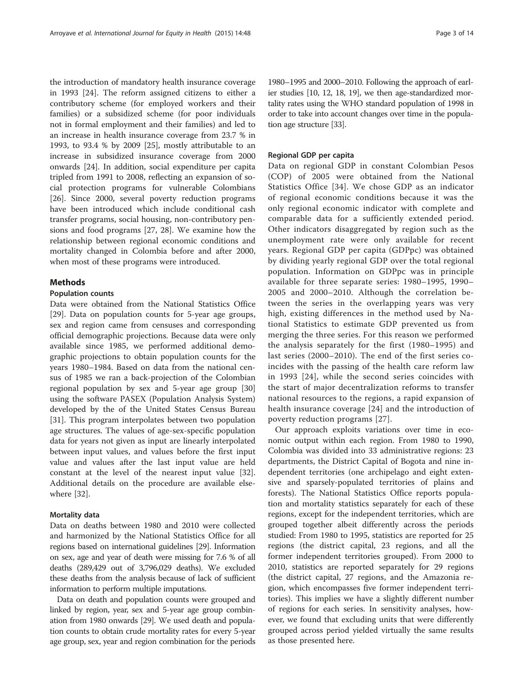the introduction of mandatory health insurance coverage in 1993 [[24\]](#page-14-0). The reform assigned citizens to either a contributory scheme (for employed workers and their families) or a subsidized scheme (for poor individuals not in formal employment and their families) and led to an increase in health insurance coverage from 23.7 % in 1993, to 93.4 % by 2009 [[25\]](#page-14-0), mostly attributable to an increase in subsidized insurance coverage from 2000 onwards [\[24](#page-14-0)]. In addition, social expenditure per capita tripled from 1991 to 2008, reflecting an expansion of social protection programs for vulnerable Colombians [[26\]](#page-14-0). Since 2000, several poverty reduction programs have been introduced which include conditional cash transfer programs, social housing, non-contributory pensions and food programs [[27, 28](#page-14-0)]. We examine how the relationship between regional economic conditions and mortality changed in Colombia before and after 2000, when most of these programs were introduced.

#### **Mathods**

#### Population counts

Data were obtained from the National Statistics Office [[29\]](#page-14-0). Data on population counts for 5-year age groups, sex and region came from censuses and corresponding official demographic projections. Because data were only available since 1985, we performed additional demographic projections to obtain population counts for the years 1980–1984. Based on data from the national census of 1985 we ran a back-projection of the Colombian regional population by sex and 5-year age group [[30](#page-14-0)] using the software PASEX (Population Analysis System) developed by the of the United States Census Bureau [[31\]](#page-14-0). This program interpolates between two population age structures. The values of age-sex-specific population data for years not given as input are linearly interpolated between input values, and values before the first input value and values after the last input value are held constant at the level of the nearest input value [\[32](#page-14-0)]. Additional details on the procedure are available elsewhere [\[32](#page-14-0)].

#### Mortality data

Data on deaths between 1980 and 2010 were collected and harmonized by the National Statistics Office for all regions based on international guidelines [[29](#page-14-0)]. Information on sex, age and year of death were missing for 7.6 % of all deaths (289,429 out of 3,796,029 deaths). We excluded these deaths from the analysis because of lack of sufficient information to perform multiple imputations.

Data on death and population counts were grouped and linked by region, year, sex and 5-year age group combination from 1980 onwards [[29](#page-14-0)]. We used death and population counts to obtain crude mortality rates for every 5-year age group, sex, year and region combination for the periods

ier studies [[10](#page-13-0), [12, 18,](#page-13-0) [19\]](#page-14-0), we then age-standardized mortality rates using the WHO standard population of 1998 in order to take into account changes over time in the population age structure [\[33\]](#page-14-0).

#### Regional GDP per capita

Data on regional GDP in constant Colombian Pesos (COP) of 2005 were obtained from the National Statistics Office [[34\]](#page-14-0). We chose GDP as an indicator of regional economic conditions because it was the only regional economic indicator with complete and comparable data for a sufficiently extended period. Other indicators disaggregated by region such as the unemployment rate were only available for recent years. Regional GDP per capita (GDPpc) was obtained by dividing yearly regional GDP over the total regional population. Information on GDPpc was in principle available for three separate series: 1980–1995, 1990– 2005 and 2000–2010. Although the correlation between the series in the overlapping years was very high, existing differences in the method used by National Statistics to estimate GDP prevented us from merging the three series. For this reason we performed the analysis separately for the first (1980–1995) and last series (2000–2010). The end of the first series coincides with the passing of the health care reform law in 1993 [\[24\]](#page-14-0), while the second series coincides with the start of major decentralization reforms to transfer national resources to the regions, a rapid expansion of health insurance coverage [[24](#page-14-0)] and the introduction of poverty reduction programs [[27](#page-14-0)].

Our approach exploits variations over time in economic output within each region. From 1980 to 1990, Colombia was divided into 33 administrative regions: 23 departments, the District Capital of Bogota and nine independent territories (one archipelago and eight extensive and sparsely-populated territories of plains and forests). The National Statistics Office reports population and mortality statistics separately for each of these regions, except for the independent territories, which are grouped together albeit differently across the periods studied: From 1980 to 1995, statistics are reported for 25 regions (the district capital, 23 regions, and all the former independent territories grouped). From 2000 to 2010, statistics are reported separately for 29 regions (the district capital, 27 regions, and the Amazonia region, which encompasses five former independent territories). This implies we have a slightly different number of regions for each series. In sensitivity analyses, however, we found that excluding units that were differently grouped across period yielded virtually the same results as those presented here.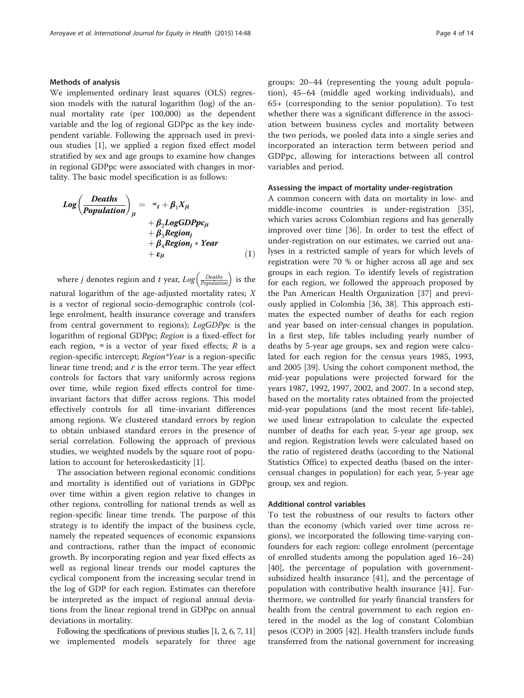#### Methods of analysis

We implemented ordinary least squares (OLS) regression models with the natural logarithm (log) of the annual mortality rate (per 100,000) as the dependent variable and the log of regional GDPpc as the key independent variable. Following the approach used in previous studies [\[1\]](#page-13-0), we applied a region fixed effect model stratified by sex and age groups to examine how changes in regional GDPpc were associated with changes in mortality. The basic model specification is as follows:

$$
Log\left(\frac{Deaths}{Population}\right)_{jt} = \alpha_t + \beta_1 X_{jt} + \beta_2 LogGDPpc_{jt} + \beta_3 Region_j + \beta_4 Region_j * Year + \varepsilon_{jt}
$$
 (1)

where *j* denotes region and *t* year,  $Log\left(\frac{Deaths}{Population}\right)$  is the natural logarithm of the age-adjusted mortality rates;  $X$ is a vector of regional socio-demographic controls (college enrolment, health insurance coverage and transfers from central government to regions); LogGDPpc is the logarithm of regional GDPpc; Region is a fixed-effect for each region,  $\alpha$  is a vector of year fixed effects; R is a region-specific intercept; Region\*Year is a region-specific linear time trend; and  $\varepsilon$  is the error term. The year effect controls for factors that vary uniformly across regions over time, while region fixed effects control for timeinvariant factors that differ across regions. This model effectively controls for all time-invariant differences among regions. We clustered standard errors by region to obtain unbiased standard errors in the presence of serial correlation. Following the approach of previous studies, we weighted models by the square root of population to account for heteroskedasticity [[1\]](#page-13-0).

The association between regional economic conditions and mortality is identified out of variations in GDPpc over time within a given region relative to changes in other regions, controlling for national trends as well as region-specific linear time trends. The purpose of this strategy is to identify the impact of the business cycle, namely the repeated sequences of economic expansions and contractions, rather than the impact of economic growth. By incorporating region and year fixed effects as well as regional linear trends our model captures the cyclical component from the increasing secular trend in the log of GDP for each region. Estimates can therefore be interpreted as the impact of regional annual deviations from the linear regional trend in GDPpc on annual deviations in mortality.

Following the specifications of previous studies [\[1](#page-13-0), [2](#page-13-0), [6](#page-13-0), [7, 11](#page-13-0)] we implemented models separately for three age groups: 20–44 (representing the young adult population), 45–64 (middle aged working individuals), and 65+ (corresponding to the senior population). To test whether there was a significant difference in the association between business cycles and mortality between the two periods, we pooled data into a single series and incorporated an interaction term between period and GDPpc, allowing for interactions between all control variables and period.

#### Assessing the impact of mortality under-registration

A common concern with data on mortality in low- and middle-income countries is under-registration [\[35](#page-14-0)], which varies across Colombian regions and has generally improved over time [[36\]](#page-14-0). In order to test the effect of under-registration on our estimates, we carried out analyses in a restricted sample of years for which levels of registration were 70 % or higher across all age and sex groups in each region. To identify levels of registration for each region, we followed the approach proposed by the Pan American Health Organization [\[37\]](#page-14-0) and previously applied in Colombia [\[36](#page-14-0), [38\]](#page-14-0). This approach estimates the expected number of deaths for each region and year based on inter-censual changes in population. In a first step, life tables including yearly number of deaths by 5-year age groups, sex and region were calculated for each region for the census years 1985, 1993, and 2005 [[39\]](#page-14-0). Using the cohort component method, the mid-year populations were projected forward for the years 1987, 1992, 1997, 2002, and 2007. In a second step, based on the mortality rates obtained from the projected mid-year populations (and the most recent life-table), we used linear extrapolation to calculate the expected number of deaths for each year, 5-year age group, sex and region. Registration levels were calculated based on the ratio of registered deaths (according to the National Statistics Office) to expected deaths (based on the intercensual changes in population) for each year, 5-year age group, sex and region.

#### Additional control variables

To test the robustness of our results to factors other than the economy (which varied over time across regions), we incorporated the following time-varying confounders for each region: college enrolment (percentage of enrolled students among the population aged 16–24) [[40\]](#page-14-0), the percentage of population with governmentsubsidized health insurance [[41\]](#page-14-0), and the percentage of population with contributive health insurance [\[41](#page-14-0)]. Furthermore, we controlled for yearly financial transfers for health from the central government to each region entered in the model as the log of constant Colombian pesos (COP) in 2005 [\[42\]](#page-14-0). Health transfers include funds transferred from the national government for increasing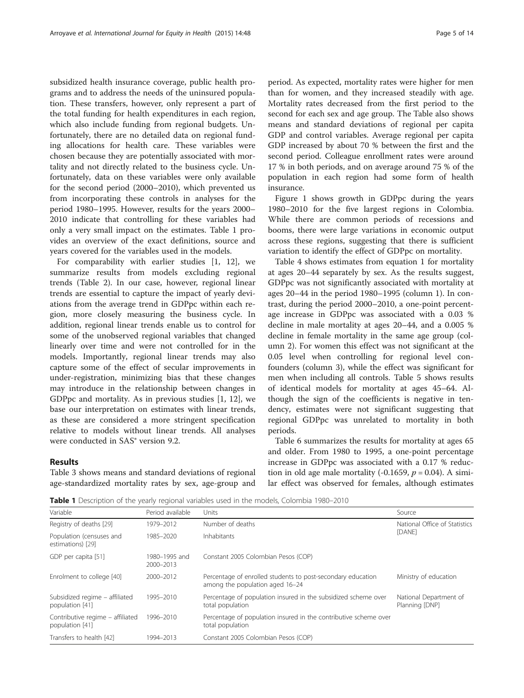<span id="page-5-0"></span>subsidized health insurance coverage, public health programs and to address the needs of the uninsured population. These transfers, however, only represent a part of the total funding for health expenditures in each region, which also include funding from regional budgets. Unfortunately, there are no detailed data on regional funding allocations for health care. These variables were chosen because they are potentially associated with mortality and not directly related to the business cycle. Unfortunately, data on these variables were only available for the second period (2000–2010), which prevented us from incorporating these controls in analyses for the period 1980–1995. However, results for the years 2000– 2010 indicate that controlling for these variables had only a very small impact on the estimates. Table 1 provides an overview of the exact definitions, source and years covered for the variables used in the models.

For comparability with earlier studies [\[1](#page-13-0), [12](#page-13-0)], we summarize results from models excluding regional trends (Table [2](#page-6-0)). In our case, however, regional linear trends are essential to capture the impact of yearly deviations from the average trend in GDPpc within each region, more closely measuring the business cycle. In addition, regional linear trends enable us to control for some of the unobserved regional variables that changed linearly over time and were not controlled for in the models. Importantly, regional linear trends may also capture some of the effect of secular improvements in under-registration, minimizing bias that these changes may introduce in the relationship between changes in GDPpc and mortality. As in previous studies [\[1, 12](#page-13-0)], we base our interpretation on estimates with linear trends, as these are considered a more stringent specification relative to models without linear trends. All analyses were conducted in SAS® version 9.2.

#### Results

Table [3](#page-6-0) shows means and standard deviations of regional age-standardized mortality rates by sex, age-group and

period. As expected, mortality rates were higher for men than for women, and they increased steadily with age. Mortality rates decreased from the first period to the second for each sex and age group. The Table also shows means and standard deviations of regional per capita GDP and control variables. Average regional per capita GDP increased by about 70 % between the first and the second period. Colleague enrollment rates were around 17 % in both periods, and on average around 75 % of the population in each region had some form of health insurance.

Figure [1](#page-7-0) shows growth in GDPpc during the years 1980–2010 for the five largest regions in Colombia. While there are common periods of recessions and booms, there were large variations in economic output across these regions, suggesting that there is sufficient variation to identify the effect of GDPpc on mortality.

Table [4](#page-7-0) shows estimates from equation 1 for mortality at ages 20–44 separately by sex. As the results suggest, GDPpc was not significantly associated with mortality at ages 20–44 in the period 1980–1995 (column 1). In contrast, during the period 2000–2010, a one-point percentage increase in GDPpc was associated with a 0.03 % decline in male mortality at ages 20–44, and a 0.005 % decline in female mortality in the same age group (column 2). For women this effect was not significant at the 0.05 level when controlling for regional level confounders (column 3), while the effect was significant for men when including all controls. Table [5](#page-8-0) shows results of identical models for mortality at ages 45–64. Although the sign of the coefficients is negative in tendency, estimates were not significant suggesting that regional GDPpc was unrelated to mortality in both periods.

Table [6](#page-8-0) summarizes the results for mortality at ages 65 and older. From 1980 to 1995, a one-point percentage increase in GDPpc was associated with a 0.17 % reduction in old age male mortality (-0.1659,  $p = 0.04$ ). A similar effect was observed for females, although estimates

Table 1 Description of the yearly regional variables used in the models, Colombia 1980–2010

| Variable                                            | Period available           | Units                                                                                          | Source                                   |
|-----------------------------------------------------|----------------------------|------------------------------------------------------------------------------------------------|------------------------------------------|
| Registry of deaths [29]                             | 1979-2012                  | Number of deaths                                                                               | National Office of Statistics            |
| Population (censuses and<br>estimations) [29]       | 1985-2020                  | Inhabitants                                                                                    | <b>IDANEI</b>                            |
| GDP per capita [51]                                 | 1980-1995 and<br>2000-2013 | Constant 2005 Colombian Pesos (COP)                                                            |                                          |
| Enrolment to college [40]                           | 2000-2012                  | Percentage of enrolled students to post-secondary education<br>among the population aged 16-24 | Ministry of education                    |
| Subsidized regime - affiliated<br>population [41]   | 1995-2010                  | Percentage of population insured in the subsidized scheme over<br>total population             | National Department of<br>Planning [DNP] |
| Contributive regime - affiliated<br>population [41] | 1996-2010                  | Percentage of population insured in the contributive scheme over<br>total population           |                                          |
| Transfers to health [42]                            | 1994-2013                  | Constant 2005 Colombian Pesos (COP)                                                            |                                          |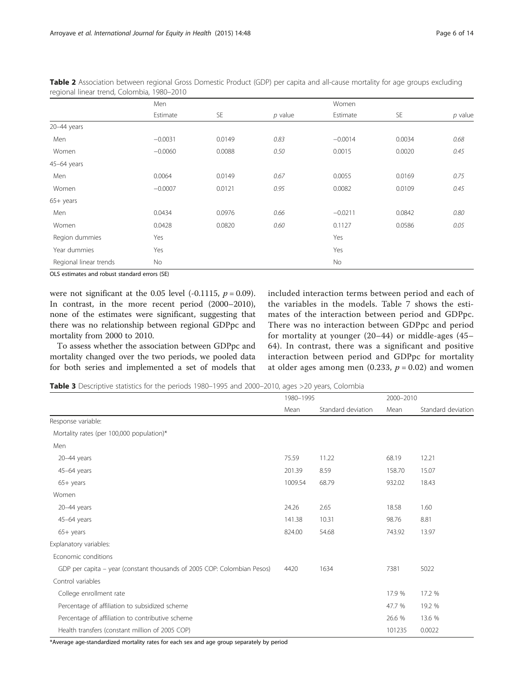|                        | Men       |           |           | Women     |           |           |  |
|------------------------|-----------|-----------|-----------|-----------|-----------|-----------|--|
|                        | Estimate  | <b>SE</b> | $p$ value | Estimate  | <b>SE</b> | $p$ value |  |
| 20-44 years            |           |           |           |           |           |           |  |
| Men                    | $-0.0031$ | 0.0149    | 0.83      | $-0.0014$ | 0.0034    | 0.68      |  |
| Women                  | $-0.0060$ | 0.0088    | 0.50      | 0.0015    | 0.0020    | 0.45      |  |
| 45-64 years            |           |           |           |           |           |           |  |
| Men                    | 0.0064    | 0.0149    | 0.67      | 0.0055    | 0.0169    | 0.75      |  |
| Women                  | $-0.0007$ | 0.0121    | 0.95      | 0.0082    | 0.0109    | 0.45      |  |
| $65+$ years            |           |           |           |           |           |           |  |
| Men                    | 0.0434    | 0.0976    | 0.66      | $-0.0211$ | 0.0842    | 0.80      |  |
| Women                  | 0.0428    | 0.0820    | 0.60      | 0.1127    | 0.0586    | 0.05      |  |
| Region dummies         | Yes       |           |           | Yes       |           |           |  |
| Year dummies           | Yes       |           |           | Yes       |           |           |  |
| Regional linear trends | No        |           |           | No        |           |           |  |

<span id="page-6-0"></span>Table 2 Association between regional Gross Domestic Product (GDP) per capita and all-cause mortality for age groups excluding regional linear trend, Colombia, 1980–2010

OLS estimates and robust standard errors (SE)

were not significant at the 0.05 level  $(-0.1115, p = 0.09)$ . In contrast, in the more recent period (2000–2010), none of the estimates were significant, suggesting that there was no relationship between regional GDPpc and mortality from 2000 to 2010.

To assess whether the association between GDPpc and mortality changed over the two periods, we pooled data for both series and implemented a set of models that included interaction terms between period and each of the variables in the models. Table [7](#page-9-0) shows the estimates of the interaction between period and GDPpc. There was no interaction between GDPpc and period for mortality at younger (20–44) or middle-ages (45– 64). In contrast, there was a significant and positive interaction between period and GDPpc for mortality at older ages among men  $(0.233, p = 0.02)$  and women

Table 3 Descriptive statistics for the periods 1980–1995 and 2000–2010, ages >20 years, Colombia

|                                                                         | 1980-1995 |                    | 2000-2010 |                    |
|-------------------------------------------------------------------------|-----------|--------------------|-----------|--------------------|
|                                                                         | Mean      | Standard deviation | Mean      | Standard deviation |
| Response variable:                                                      |           |                    |           |                    |
| Mortality rates (per 100,000 population)*                               |           |                    |           |                    |
| Men                                                                     |           |                    |           |                    |
| $20-44$ years                                                           | 75.59     | 11.22              | 68.19     | 12.21              |
| 45-64 years                                                             | 201.39    | 8.59               | 158.70    | 15.07              |
| $65+$ years                                                             | 1009.54   | 68.79              | 932.02    | 18.43              |
| Women                                                                   |           |                    |           |                    |
| 20-44 years                                                             | 24.26     | 2.65               | 18.58     | 1.60               |
| 45-64 years                                                             | 141.38    | 10.31              | 98.76     | 8.81               |
| $65+$ years                                                             | 824.00    | 54.68              | 743.92    | 13.97              |
| Explanatory variables:                                                  |           |                    |           |                    |
| Economic conditions                                                     |           |                    |           |                    |
| GDP per capita - year (constant thousands of 2005 COP: Colombian Pesos) | 4420      | 1634               | 7381      | 5022               |
| Control variables                                                       |           |                    |           |                    |
| College enrollment rate                                                 |           |                    | 17.9 %    | 17.2 %             |
| Percentage of affiliation to subsidized scheme                          |           |                    | 47.7 %    | 19.2 %             |
| Percentage of affiliation to contributive scheme                        |           |                    | 26.6 %    | 13.6 %             |
| Health transfers (constant million of 2005 COP)                         |           |                    | 101235    | 0.0022             |

\*Average age-standardized mortality rates for each sex and age group separately by period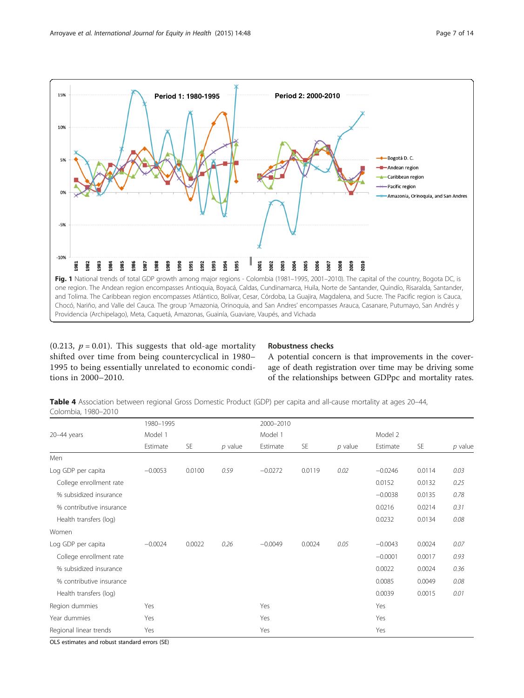<span id="page-7-0"></span>

(0.213,  $p = 0.01$ ). This suggests that old-age mortality shifted over time from being countercyclical in 1980– 1995 to being essentially unrelated to economic conditions in 2000–2010.

#### Robustness checks

A potential concern is that improvements in the coverage of death registration over time may be driving some of the relationships between GDPpc and mortality rates.

Table 4 Association between regional Gross Domestic Product (GDP) per capita and all-cause mortality at ages 20–44, Colombia, 1980–2010

|                          | 1980-1995 |           |           | 2000-2010 |           |           |           |           |           |
|--------------------------|-----------|-----------|-----------|-----------|-----------|-----------|-----------|-----------|-----------|
| $20 - 44$ years          | Model 1   |           |           | Model 1   |           |           | Model 2   |           |           |
|                          | Estimate  | <b>SE</b> | $p$ value | Estimate  | <b>SE</b> | $p$ value | Estimate  | <b>SE</b> | $p$ value |
| Men                      |           |           |           |           |           |           |           |           |           |
| Log GDP per capita       | $-0.0053$ | 0.0100    | 0.59      | $-0.0272$ | 0.0119    | 0.02      | $-0.0246$ | 0.0114    | 0.03      |
| College enrollment rate  |           |           |           |           |           |           | 0.0152    | 0.0132    | 0.25      |
| % subsidized insurance   |           |           |           |           |           |           | $-0.0038$ | 0.0135    | 0.78      |
| % contributive insurance |           |           |           |           |           |           | 0.0216    | 0.0214    | 0.31      |
| Health transfers (log)   |           |           |           |           |           |           | 0.0232    | 0.0134    | 0.08      |
| Women                    |           |           |           |           |           |           |           |           |           |
| Log GDP per capita       | $-0.0024$ | 0.0022    | 0.26      | $-0.0049$ | 0.0024    | 0.05      | $-0.0043$ | 0.0024    | 0.07      |
| College enrollment rate  |           |           |           |           |           |           | $-0.0001$ | 0.0017    | 0.93      |
| % subsidized insurance   |           |           |           |           |           |           | 0.0022    | 0.0024    | 0.36      |
| % contributive insurance |           |           |           |           |           |           | 0.0085    | 0.0049    | 0.08      |
| Health transfers (log)   |           |           |           |           |           |           | 0.0039    | 0.0015    | 0.01      |
| Region dummies           | Yes       |           |           | Yes       |           |           | Yes       |           |           |
| Year dummies             | Yes       |           |           | Yes       |           |           | Yes       |           |           |
| Regional linear trends   | Yes       |           |           | Yes       |           |           | Yes       |           |           |

OLS estimates and robust standard errors (SE)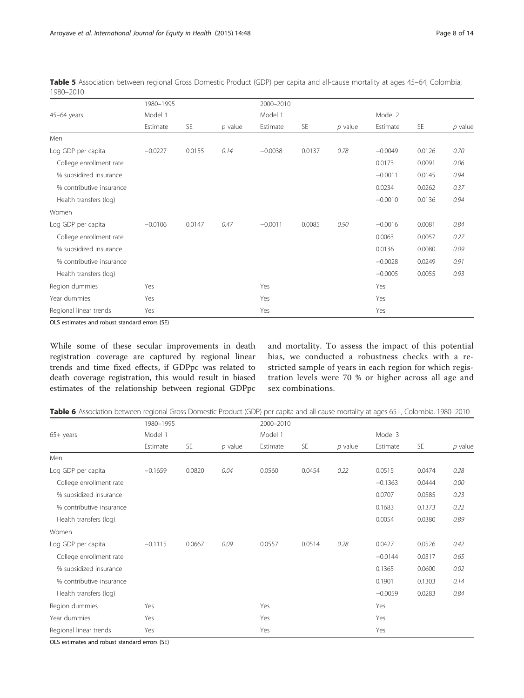|                          | 1980-1995 |        |           | 2000-2010 |           |           |           |           |           |
|--------------------------|-----------|--------|-----------|-----------|-----------|-----------|-----------|-----------|-----------|
| 45-64 years              | Model 1   |        |           | Model 1   |           |           | Model 2   |           |           |
|                          | Estimate  | SE     | $p$ value | Estimate  | <b>SE</b> | $p$ value | Estimate  | <b>SE</b> | $p$ value |
| Men                      |           |        |           |           |           |           |           |           |           |
| Log GDP per capita       | $-0.0227$ | 0.0155 | 0.14      | $-0.0038$ | 0.0137    | 0.78      | $-0.0049$ | 0.0126    | 0.70      |
| College enrollment rate  |           |        |           |           |           |           | 0.0173    | 0.0091    | 0.06      |
| % subsidized insurance   |           |        |           |           |           |           | $-0.0011$ | 0.0145    | 0.94      |
| % contributive insurance |           |        |           |           |           |           | 0.0234    | 0.0262    | 0.37      |
| Health transfers (log)   |           |        |           |           |           |           | $-0.0010$ | 0.0136    | 0.94      |
| Women                    |           |        |           |           |           |           |           |           |           |
| Log GDP per capita       | $-0.0106$ | 0.0147 | 0.47      | $-0.0011$ | 0.0085    | 0.90      | $-0.0016$ | 0.0081    | 0.84      |
| College enrollment rate  |           |        |           |           |           |           | 0.0063    | 0.0057    | 0.27      |
| % subsidized insurance   |           |        |           |           |           |           | 0.0136    | 0.0080    | 0.09      |
| % contributive insurance |           |        |           |           |           |           | $-0.0028$ | 0.0249    | 0.91      |
| Health transfers (log)   |           |        |           |           |           |           | $-0.0005$ | 0.0055    | 0.93      |
| Region dummies           | Yes       |        |           | Yes       |           |           | Yes       |           |           |
| Year dummies             | Yes       |        |           | Yes       |           |           | Yes       |           |           |
| Regional linear trends   | Yes       |        |           | Yes       |           |           | Yes       |           |           |

<span id="page-8-0"></span>Table 5 Association between regional Gross Domestic Product (GDP) per capita and all-cause mortality at ages 45–64, Colombia, 1980–2010

OLS estimates and robust standard errors (SE)

While some of these secular improvements in death registration coverage are captured by regional linear trends and time fixed effects, if GDPpc was related to death coverage registration, this would result in biased estimates of the relationship between regional GDPpc

and mortality. To assess the impact of this potential bias, we conducted a robustness checks with a restricted sample of years in each region for which registration levels were 70 % or higher across all age and sex combinations.

|  | Table 6 Association between regional Gross Domestic Product (GDP) per capita and all-cause mortality at ages 65+, Colombia, 1980-2010 |  |
|--|---------------------------------------------------------------------------------------------------------------------------------------|--|
|  |                                                                                                                                       |  |

|                          | 1980-1995 |           |           | 2000-2010 |        |           |           |           |           |
|--------------------------|-----------|-----------|-----------|-----------|--------|-----------|-----------|-----------|-----------|
| $65+$ years              | Model 1   |           |           | Model 1   |        |           | Model 3   |           |           |
|                          | Estimate  | <b>SE</b> | $p$ value | Estimate  | SE     | $p$ value | Estimate  | <b>SE</b> | $p$ value |
| Men                      |           |           |           |           |        |           |           |           |           |
| Log GDP per capita       | $-0.1659$ | 0.0820    | 0.04      | 0.0560    | 0.0454 | 0.22      | 0.0515    | 0.0474    | 0.28      |
| College enrollment rate  |           |           |           |           |        |           | $-0.1363$ | 0.0444    | 0.00      |
| % subsidized insurance   |           |           |           |           |        |           | 0.0707    | 0.0585    | 0.23      |
| % contributive insurance |           |           |           |           |        |           | 0.1683    | 0.1373    | 0.22      |
| Health transfers (log)   |           |           |           |           |        |           | 0.0054    | 0.0380    | 0.89      |
| Women                    |           |           |           |           |        |           |           |           |           |
| Log GDP per capita       | $-0.1115$ | 0.0667    | 0.09      | 0.0557    | 0.0514 | 0.28      | 0.0427    | 0.0526    | 0.42      |
| College enrollment rate  |           |           |           |           |        |           | $-0.0144$ | 0.0317    | 0.65      |
| % subsidized insurance   |           |           |           |           |        |           | 0.1365    | 0.0600    | 0.02      |
| % contributive insurance |           |           |           |           |        |           | 0.1901    | 0.1303    | 0.14      |
| Health transfers (log)   |           |           |           |           |        |           | $-0.0059$ | 0.0283    | 0.84      |
| Region dummies           | Yes       |           |           | Yes       |        |           | Yes       |           |           |
| Year dummies             | Yes       |           |           | Yes       |        |           | Yes       |           |           |
| Regional linear trends   | Yes       |           |           | Yes       |        |           | Yes       |           |           |

OLS estimates and robust standard errors (SE)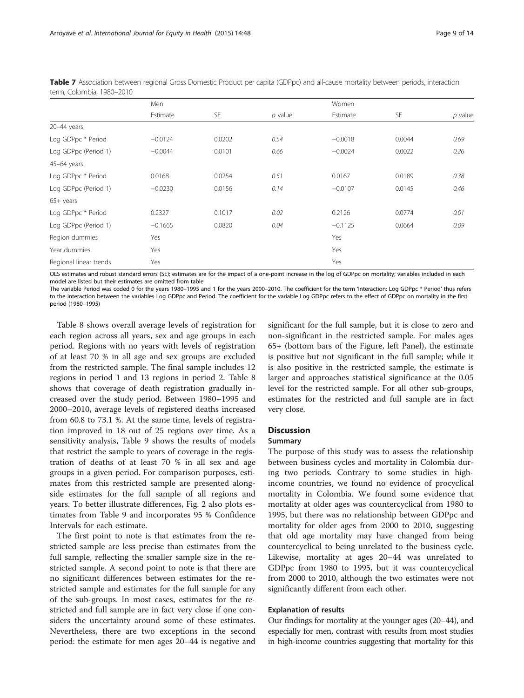|                        | Men       |           |           | Women     |           |           |
|------------------------|-----------|-----------|-----------|-----------|-----------|-----------|
|                        | Estimate  | <b>SE</b> | $p$ value | Estimate  | <b>SE</b> | $p$ value |
| 20-44 years            |           |           |           |           |           |           |
| Log GDPpc * Period     | $-0.0124$ | 0.0202    | 0.54      | $-0.0018$ | 0.0044    | 0.69      |
| Log GDPpc (Period 1)   | $-0.0044$ | 0.0101    | 0.66      | $-0.0024$ | 0.0022    | 0.26      |
| 45-64 years            |           |           |           |           |           |           |
| Log GDPpc * Period     | 0.0168    | 0.0254    | 0.51      | 0.0167    | 0.0189    | 0.38      |
| Log GDPpc (Period 1)   | $-0.0230$ | 0.0156    | 0.14      | $-0.0107$ | 0.0145    | 0.46      |
| 65+ years              |           |           |           |           |           |           |
| Log GDPpc * Period     | 0.2327    | 0.1017    | 0.02      | 0.2126    | 0.0774    | 0.01      |
| Log GDPpc (Period 1)   | $-0.1665$ | 0.0820    | 0.04      | $-0.1125$ | 0.0664    | 0.09      |
| Region dummies         | Yes       |           |           | Yes       |           |           |
| Year dummies           | Yes       |           |           | Yes       |           |           |
| Regional linear trends | Yes       |           |           | Yes       |           |           |

<span id="page-9-0"></span>Table 7 Association between regional Gross Domestic Product per capita (GDPpc) and all-cause mortality between periods, interaction term, Colombia, 1980–2010

OLS estimates and robust standard errors (SE); estimates are for the impact of a one-point increase in the log of GDPpc on mortality; variables included in each model are listed but their estimates are omitted from table

The variable Period was coded 0 for the years 1980-1995 and 1 for the years 2000-2010. The coefficient for the term 'Interaction: Log GDPpc \* Period' thus refers to the interaction between the variables Log GDPpc and Period. The coefficient for the variable Log GDPpc refers to the effect of GDPpc on mortality in the first period (1980–1995)

Table [8](#page-10-0) shows overall average levels of registration for each region across all years, sex and age groups in each period. Regions with no years with levels of registration of at least 70 % in all age and sex groups are excluded from the restricted sample. The final sample includes 12 regions in period 1 and 13 regions in period 2. Table [8](#page-10-0) shows that coverage of death registration gradually increased over the study period. Between 1980–1995 and 2000–2010, average levels of registered deaths increased from 60.8 to 73.1 %. At the same time, levels of registration improved in 18 out of 25 regions over time. As a sensitivity analysis, Table [9](#page-11-0) shows the results of models that restrict the sample to years of coverage in the registration of deaths of at least 70 % in all sex and age groups in a given period. For comparison purposes, estimates from this restricted sample are presented alongside estimates for the full sample of all regions and years. To better illustrate differences, Fig. [2](#page-12-0) also plots estimates from Table [9](#page-11-0) and incorporates 95 % Confidence Intervals for each estimate.

The first point to note is that estimates from the restricted sample are less precise than estimates from the full sample, reflecting the smaller sample size in the restricted sample. A second point to note is that there are no significant differences between estimates for the restricted sample and estimates for the full sample for any of the sub-groups. In most cases, estimates for the restricted and full sample are in fact very close if one considers the uncertainty around some of these estimates. Nevertheless, there are two exceptions in the second period: the estimate for men ages 20–44 is negative and

significant for the full sample, but it is close to zero and non-significant in the restricted sample. For males ages 65+ (bottom bars of the Figure, left Panel), the estimate is positive but not significant in the full sample; while it is also positive in the restricted sample, the estimate is larger and approaches statistical significance at the 0.05 level for the restricted sample. For all other sub-groups, estimates for the restricted and full sample are in fact very close.

#### **Discussion**

#### Summary

The purpose of this study was to assess the relationship between business cycles and mortality in Colombia during two periods. Contrary to some studies in highincome countries, we found no evidence of procyclical mortality in Colombia. We found some evidence that mortality at older ages was countercyclical from 1980 to 1995, but there was no relationship between GDPpc and mortality for older ages from 2000 to 2010, suggesting that old age mortality may have changed from being countercyclical to being unrelated to the business cycle. Likewise, mortality at ages 20–44 was unrelated to GDPpc from 1980 to 1995, but it was countercyclical from 2000 to 2010, although the two estimates were not significantly different from each other.

#### Explanation of results

Our findings for mortality at the younger ages (20–44), and especially for men, contrast with results from most studies in high-income countries suggesting that mortality for this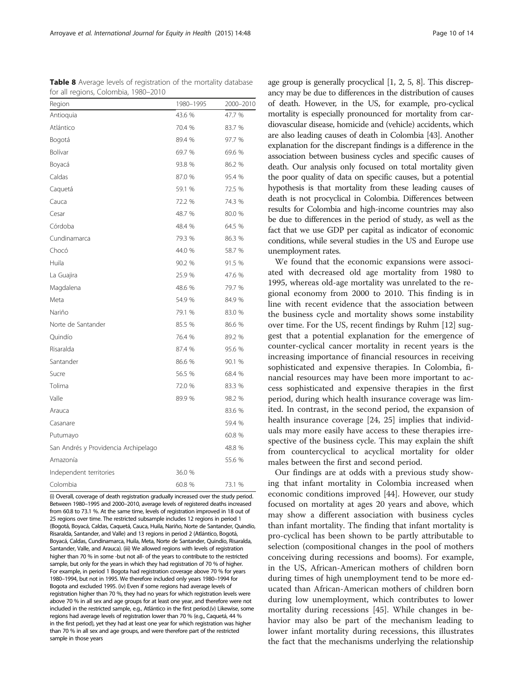(i) Overall, coverage of death registration gradually increased over the study period. Between 1980–1995 and 2000–2010, average levels of registered deaths increased from 60.8 to 73.1 %. At the same time, levels of registration improved in 18 out of 25 regions over time. The restricted subsample includes 12 regions in period 1 (Bogotá, Boyacá, Caldas, Caquetá, Cauca, Huila, Nariño, Norte de Santander, Quindío, Risaralda, Santander, and Valle) and 13 regions in period 2 (Atlántico, Bogotá, Boyacá, Caldas, Cundinamarca, Huila, Meta, Norte de Santander, Quindío, Risaralda, Santander, Valle, and Arauca). (iii) We allowed regions with levels of registration higher than 70 % in some -but not all- of the years to contribute to the restricted sample, but only for the years in which they had registration of 70 % of higher. For example, in period 1 Bogota had registration coverage above 70 % for years 1980–1994, but not in 1995. We therefore included only years 1980–1994 for Bogota and excluded 1995. (iv) Even if some regions had average levels of registration higher than 70 %, they had no years for which registration levels were above 70 % in all sex and age groups for at least one year, and therefore were not included in the restricted sample, e.g., Atlántico in the first period.(v) Likewise, some regions had average levels of registration lower than 70 % (e.g., Caquetá, 44 % in the first period), yet they had at least one year for which registration was higher than 70 % in all sex and age groups, and were therefore part of the restricted sample in those years

results for Colombia and high-income countries may also be due to differences in the period of study, as well as the fact that we use GDP per capital as indicator of economic conditions, while several studies in the US and Europe use unemployment rates. We found that the economic expansions were associated with decreased old age mortality from 1980 to 1995, whereas old-age mortality was unrelated to the regional economy from 2000 to 2010. This finding is in line with recent evidence that the association between the business cycle and mortality shows some instability over time. For the US, recent findings by Ruhm [\[12](#page-13-0)] suggest that a potential explanation for the emergence of counter-cyclical cancer mortality in recent years is the increasing importance of financial resources in receiving sophisticated and expensive therapies. In Colombia, financial resources may have been more important to access sophisticated and expensive therapies in the first period, during which health insurance coverage was limited. In contrast, in the second period, the expansion of health insurance coverage [\[24](#page-14-0), [25](#page-14-0)] implies that individuals may more easily have access to these therapies irrespective of the business cycle. This may explain the shift from countercyclical to acyclical mortality for older males between the first and second period.

age group is generally procyclical [\[1, 2, 5, 8](#page-13-0)]. This discrepancy may be due to differences in the distribution of causes of death. However, in the US, for example, pro-cyclical mortality is especially pronounced for mortality from cardiovascular disease, homicide and (vehicle) accidents, which are also leading causes of death in Colombia [\[43\]](#page-14-0). Another explanation for the discrepant findings is a difference in the association between business cycles and specific causes of death. Our analysis only focused on total mortality given the poor quality of data on specific causes, but a potential hypothesis is that mortality from these leading causes of death is not procyclical in Colombia. Differences between

Our findings are at odds with a previous study showing that infant mortality in Colombia increased when economic conditions improved [\[44](#page-14-0)]. However, our study focused on mortality at ages 20 years and above, which may show a different association with business cycles than infant mortality. The finding that infant mortality is pro-cyclical has been shown to be partly attributable to selection (compositional changes in the pool of mothers conceiving during recessions and booms). For example, in the US, African-American mothers of children born during times of high unemployment tend to be more educated than African-American mothers of children born during low unemployment, which contributes to lower mortality during recessions [[45\]](#page-14-0). While changes in behavior may also be part of the mechanism leading to lower infant mortality during recessions, this illustrates the fact that the mechanisms underlying the relationship

<span id="page-10-0"></span>Table 8 Average levels of registration of the mortality database for all regions, Colombia, 1980–2010

| Region                               | 1980-1995 | 2000-2010 |
|--------------------------------------|-----------|-----------|
| Antioquia                            | 43.6 %    | 47.7 %    |
| Atlántico                            | 70.4 %    | 83.7 %    |
| Bogotá                               | 89.4 %    | 97.7 %    |
| Bolívar                              | 69.7 %    | 69.6 %    |
| Boyacá                               | 93.8 %    | 86.2 %    |
| Caldas                               | 87.0 %    | 95.4 %    |
| Caquetá                              | 59.1 %    | 72.5 %    |
| Cauca                                | 72.2 %    | 74.3 %    |
| Cesar                                | 48.7 %    | 80.0 %    |
| Córdoba                              | 48.4 %    | 64.5 %    |
| Cundinamarca                         | 79.3 %    | 86.3 %    |
| Chocó                                | 44.0 %    | 58.7 %    |
| Huila                                | 90.2 %    | 91.5 %    |
| La Guajira                           | 25.9 %    | 47.6 %    |
| Magdalena                            | 48.6 %    | 79.7 %    |
| Meta                                 | 54.9 %    | 84.9 %    |
| Nariño                               | 79.1 %    | 83.0 %    |
| Norte de Santander                   | 85.5 %    | 86.6 %    |
| Quindío                              | 76.4 %    | 89.2 %    |
| Risaralda                            | 87.4 %    | 95.6 %    |
| Santander                            | 86.6 %    | 90.1 %    |
| Sucre                                | 56.5 %    | 68.4 %    |
| Tolima                               | 72.0 %    | 83.3 %    |
| Valle                                | 89.9 %    | 98.2 %    |
| Arauca                               |           | 83.6 %    |
| Casanare                             |           | 59.4 %    |
| Putumayo                             |           | 60.8 %    |
| San Andrés y Providencia Archipelago |           | 48.8 %    |
| Amazonía                             |           | 55.6 %    |
| Independent territories              | 36.0 %    |           |
| Colombia                             | 60.8 %    | 73.1 %    |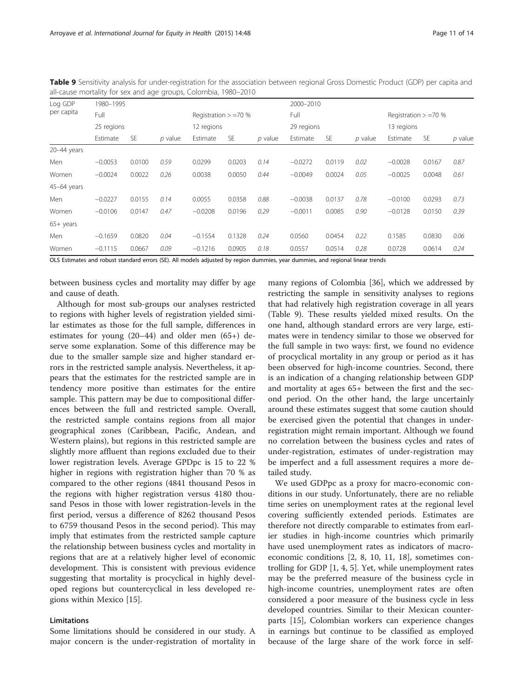| all-cause mortality for sex and age groups, Colombia, 1980–2010 |            |           |         |            |                         |         |            |        |           |            |                         |           |  |  |
|-----------------------------------------------------------------|------------|-----------|---------|------------|-------------------------|---------|------------|--------|-----------|------------|-------------------------|-----------|--|--|
| Log GDP                                                         |            | 1980-1995 |         |            |                         |         |            |        | 2000-2010 |            |                         |           |  |  |
| per capita                                                      | Full       |           |         |            | Registration $> = 70$ % |         | Full       |        |           |            | Registration $> = 70$ % |           |  |  |
|                                                                 | 25 regions |           |         | 12 regions |                         |         | 29 regions |        |           | 13 regions |                         |           |  |  |
|                                                                 | Estimate   | <b>SE</b> | p value | Estimate   | <b>SE</b>               | p value | Estimate   | SE     | p value   | Estimate   | <b>SE</b>               | $p$ value |  |  |
| 20-44 years                                                     |            |           |         |            |                         |         |            |        |           |            |                         |           |  |  |
| Men                                                             | $-0.0053$  | 0.0100    | 0.59    | 0.0299     | 0.0203                  | 0.14    | $-0.0272$  | 0.0119 | 0.02      | $-0.0028$  | 0.0167                  | 0.87      |  |  |
| Women                                                           | $-0.0024$  | 0.0022    | 0.26    | 0.0038     | 0.0050                  | 0.44    | $-0.0049$  | 0.0024 | 0.05      | $-0.0025$  | 0.0048                  | 0.61      |  |  |
| $45-64$ years                                                   |            |           |         |            |                         |         |            |        |           |            |                         |           |  |  |
| Men                                                             | $-0.0227$  | 0.0155    | 0.14    | 0.0055     | 0.0358                  | 0.88    | $-0.0038$  | 0.0137 | 0.78      | $-0.0100$  | 0.0293                  | 0.73      |  |  |
| Women                                                           | $-0.0106$  | 0.0147    | 0.47    | $-0.0208$  | 0.0196                  | 0.29    | $-0.0011$  | 0.0085 | 0.90      | $-0.0128$  | 0.0150                  | 0.39      |  |  |
| $65+$ years                                                     |            |           |         |            |                         |         |            |        |           |            |                         |           |  |  |
| Men                                                             | $-0.1659$  | 0.0820    | 0.04    | $-0.1554$  | 0.1328                  | 0.24    | 0.0560     | 0.0454 | 0.22      | 0.1585     | 0.0830                  | 0.06      |  |  |
| Women                                                           | $-0.1115$  | 0.0667    | 0.09    | $-0.1216$  | 0.0905                  | 0.18    | 0.0557     | 0.0514 | 0.28      | 0.0728     | 0.0614                  | 0.24      |  |  |

<span id="page-11-0"></span>Table 9 Sensitivity analysis for under-registration for the association between regional Gross Domestic Product (GDP) per capita and as Calambia, 1980–2010

OLS Estimates and robust standard errors (SE). All models adjusted by region dummies, year dummies, and regional linear trends

between business cycles and mortality may differ by age and cause of death.

Although for most sub-groups our analyses restricted to regions with higher levels of registration yielded similar estimates as those for the full sample, differences in estimates for young (20–44) and older men (65+) deserve some explanation. Some of this difference may be due to the smaller sample size and higher standard errors in the restricted sample analysis. Nevertheless, it appears that the estimates for the restricted sample are in tendency more positive than estimates for the entire sample. This pattern may be due to compositional differences between the full and restricted sample. Overall, the restricted sample contains regions from all major geographical zones (Caribbean, Pacific, Andean, and Western plains), but regions in this restricted sample are slightly more affluent than regions excluded due to their lower registration levels. Average GPDpc is 15 to 22 % higher in regions with registration higher than 70 % as compared to the other regions (4841 thousand Pesos in the regions with higher registration versus 4180 thousand Pesos in those with lower registration-levels in the first period, versus a difference of 8262 thousand Pesos to 6759 thousand Pesos in the second period). This may imply that estimates from the restricted sample capture the relationship between business cycles and mortality in regions that are at a relatively higher level of economic development. This is consistent with previous evidence suggesting that mortality is procyclical in highly developed regions but countercyclical in less developed regions within Mexico [\[15](#page-13-0)].

#### Limitations

Some limitations should be considered in our study. A major concern is the under-registration of mortality in many regions of Colombia [[36\]](#page-14-0), which we addressed by restricting the sample in sensitivity analyses to regions that had relatively high registration coverage in all years (Table 9). These results yielded mixed results. On the one hand, although standard errors are very large, estimates were in tendency similar to those we observed for the full sample in two ways: first, we found no evidence of procyclical mortality in any group or period as it has been observed for high-income countries. Second, there is an indication of a changing relationship between GDP and mortality at ages 65+ between the first and the second period. On the other hand, the large uncertainly around these estimates suggest that some caution should be exercised given the potential that changes in underregistration might remain important. Although we found no correlation between the business cycles and rates of under-registration, estimates of under-registration may be imperfect and a full assessment requires a more detailed study.

We used GDPpc as a proxy for macro-economic conditions in our study. Unfortunately, there are no reliable time series on unemployment rates at the regional level covering sufficiently extended periods. Estimates are therefore not directly comparable to estimates from earlier studies in high-income countries which primarily have used unemployment rates as indicators of macroeconomic conditions [[2](#page-13-0), [8, 10, 11, 18\]](#page-13-0), sometimes controlling for GDP [\[1, 4, 5\]](#page-13-0). Yet, while unemployment rates may be the preferred measure of the business cycle in high-income countries, unemployment rates are often considered a poor measure of the business cycle in less developed countries. Similar to their Mexican counterparts [[15\]](#page-13-0), Colombian workers can experience changes in earnings but continue to be classified as employed because of the large share of the work force in self-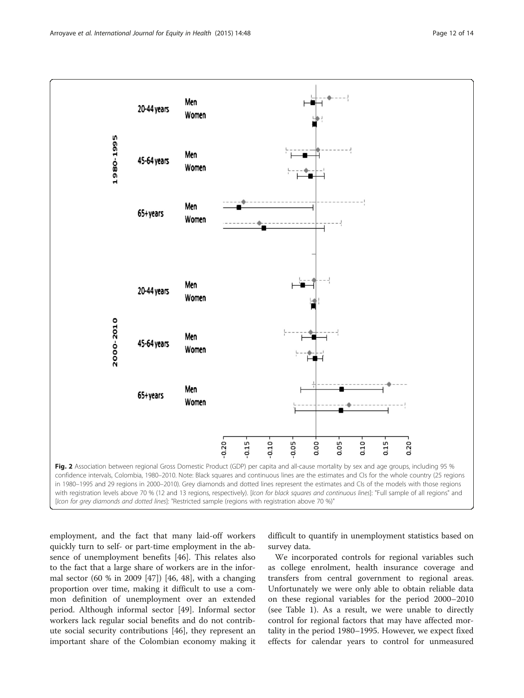<span id="page-12-0"></span>

employment, and the fact that many laid-off workers quickly turn to self- or part-time employment in the absence of unemployment benefits [[46](#page-14-0)]. This relates also to the fact that a large share of workers are in the informal sector (60 % in 2009 [[47\]](#page-14-0)) [\[46](#page-14-0), [48\]](#page-14-0), with a changing proportion over time, making it difficult to use a common definition of unemployment over an extended period. Although informal sector [[49](#page-14-0)]. Informal sector workers lack regular social benefits and do not contribute social security contributions [\[46\]](#page-14-0), they represent an important share of the Colombian economy making it difficult to quantify in unemployment statistics based on survey data.

We incorporated controls for regional variables such as college enrolment, health insurance coverage and transfers from central government to regional areas. Unfortunately we were only able to obtain reliable data on these regional variables for the period 2000–2010 (see Table [1\)](#page-5-0). As a result, we were unable to directly control for regional factors that may have affected mortality in the period 1980–1995. However, we expect fixed effects for calendar years to control for unmeasured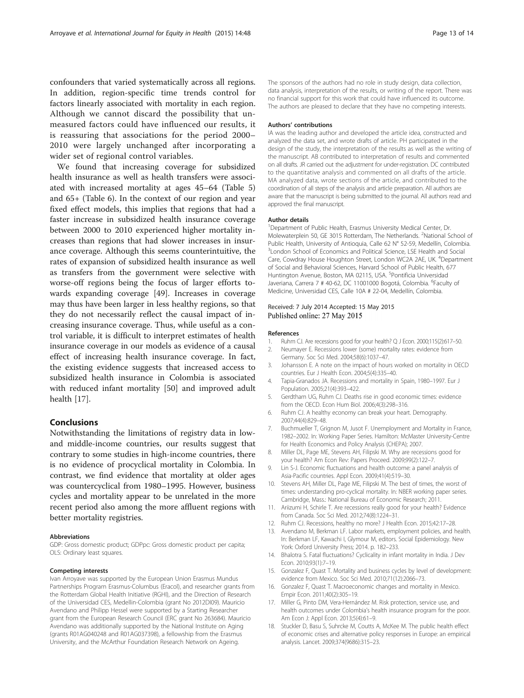<span id="page-13-0"></span>confounders that varied systematically across all regions. In addition, region-specific time trends control for factors linearly associated with mortality in each region. Although we cannot discard the possibility that unmeasured factors could have influenced our results, it is reassuring that associations for the period 2000– 2010 were largely unchanged after incorporating a wider set of regional control variables.

We found that increasing coverage for subsidized health insurance as well as health transfers were associated with increased mortality at ages 45–64 (Table [5](#page-8-0)) and 65+ (Table [6](#page-8-0)). In the context of our region and year fixed effect models, this implies that regions that had a faster increase in subsidized health insurance coverage between 2000 to 2010 experienced higher mortality increases than regions that had slower increases in insurance coverage. Although this seems counterintuitive, the rates of expansion of subsidized health insurance as well as transfers from the government were selective with worse-off regions being the focus of larger efforts towards expanding coverage [[49\]](#page-14-0). Increases in coverage may thus have been larger in less healthy regions, so that they do not necessarily reflect the causal impact of increasing insurance coverage. Thus, while useful as a control variable, it is difficult to interpret estimates of health insurance coverage in our models as evidence of a causal effect of increasing health insurance coverage. In fact, the existing evidence suggests that increased access to subsidized health insurance in Colombia is associated with reduced infant mortality [\[50](#page-14-0)] and improved adult health [17].

#### Conclusions

Notwithstanding the limitations of registry data in lowand middle-income countries, our results suggest that contrary to some studies in high-income countries, there is no evidence of procyclical mortality in Colombia. In contrast, we find evidence that mortality at older ages was countercyclical from 1980–1995. However, business cycles and mortality appear to be unrelated in the more recent period also among the more affluent regions with better mortality registries.

#### Abbreviations

GDP: Gross domestic product; GDPpc: Gross domestic product per capita; OLS: Ordinary least squares.

#### Competing interests

Ivan Arroyave was supported by the European Union Erasmus Mundus Partnerships Program Erasmus-Columbus (Eracol), and researcher grants from the Rotterdam Global Health Initiative (RGHI), and the Direction of Research of the Universidad CES, Medellin-Colombia (grant No 2012DI09). Mauricio Avendano and Philipp Hessel were supported by a Starting Researcher grant from the European Research Council (ERC grant No 263684). Mauricio Avendano was additionally supported by the National Institute on Aging (grants R01AG040248 and R01AG037398), a fellowship from the Erasmus University, and the McArthur Foundation Research Network on Ageing.

The sponsors of the authors had no role in study design, data collection, data analysis, interpretation of the results, or writing of the report. There was no financial support for this work that could have influenced its outcome. The authors are pleased to declare that they have no competing interests.

#### Authors' contributions

IA was the leading author and developed the article idea, constructed and analyzed the data set, and wrote drafts of article. PH participated in the design of the study, the interpretation of the results as well as the writing of the manuscript. AB contributed to interpretation of results and commented on all drafts. JR carried out the adjustment for under-registration. DC contributed to the quantitative analysis and commented on all drafts of the article. MA analyzed data, wrote sections of the article, and contributed to the coordination of all steps of the analysis and article preparation. All authors are aware that the manuscript is being submitted to the journal. All authors read and approved the final manuscript.

#### Author details

<sup>1</sup>Department of Public Health, Erasmus University Medical Center, Dr. Molewaterplein 50, GE 3015 Rotterdam, The Netherlands. <sup>2</sup>National School of Public Health, University of Antioquia, Calle 62 N° 52-59, Medellín, Colombia. <sup>3</sup> London School of Economics and Political Science, LSE Health and Social Care, Cowdray House Houghton Street, London WC2A 2AE, UK. <sup>4</sup>Department of Social and Behavioral Sciences, Harvard School of Public Health, 677 Huntington Avenue, Boston, MA 02115, USA. <sup>5</sup>Pontificia Universidad Javeriana, Carrera 7 # 40-62, DC 11001000 Bogotá, Colombia. <sup>6</sup>Faculty of Medicine, Universidad CES, Calle 10A # 22-04, Medellín, Colombia.

#### Received: 7 July 2014 Accepted: 15 May 2015 Published online: 27 May 2015

#### References

- 1. Ruhm CJ. Are recessions good for your health? Q J Econ. 2000;115(2):617–50. 2. Neumayer E. Recessions lower (some) mortality rates: evidence from
- Germany. Soc Sci Med. 2004;58(6):1037–47.
- 3. Johansson E. A note on the impact of hours worked on mortality in OECD countries. Eur J Health Econ. 2004;5(4):335–40.
- 4. Tapia-Granados JA. Recessions and mortality in Spain, 1980–1997. Eur J Population. 2005;21(4):393–422.
- 5. Gerdtham UG, Ruhm CJ. Deaths rise in good economic times: evidence from the OECD. Econ Hum Biol. 2006;4(3):298–316.
- 6. Ruhm CJ. A healthy economy can break your heart. Demography. 2007;44(4):829–48.
- 7. Buchmueller T, Grignon M, Jusot F. Unemployment and Mortality in France, 1982–2002. In: Working Paper Series. Hamilton: McMaster University-Centre for Health Economics and Policy Analysis (CHEPA); 2007.
- 8. Miller DL, Page ME, Stevens AH, Filipski M. Why are recessions good for your health? Am Econ Rev: Papers Proceed. 2009;99(2):122–7.
- 9. Lin S-J. Economic fluctuations and health outcome: a panel analysis of Asia-Pacific countries. Appl Econ. 2009;41(4):519–30.
- 10. Stevens AH, Miller DL, Page ME, Filipski M. The best of times, the worst of times: understanding pro-cyclical mortality. In: NBER working paper series. Cambridge, Mass.: National Bureau of Economic Research; 2011.
- 11. Ariizumi H, Schirle T. Are recessions really good for your health? Evidence from Canada. Soc Sci Med. 2012;74(8):1224–31.
- 12. Ruhm CJ. Recessions, healthy no more? J Health Econ. 2015;42:17–28.
- 13. Avendano M, Berkman LF. Labor markets, employment policies, and health. In: Berkman LF, Kawachi I, Glymour M, editors. Social Epidemiology. New York: Oxford University Press; 2014. p. 182–233.
- 14. Bhalotra S. Fatal fluctuations? Cyclicality in infant mortality in India. J Dev Econ. 2010;93(1):7–19.
- 15. Gonzalez F, Quast T. Mortality and business cycles by level of development: evidence from Mexico. Soc Sci Med. 2010;71(12):2066–73.
- 16. Gonzalez F, Quast T. Macroeconomic changes and mortality in Mexico. Empir Econ. 2011;40(2):305–19.
- 17. Miller G, Pinto DM, Vera-Hernández M. Risk protection, service use, and health outcomes under Colombia's health insurance program for the poor. Am Econ J: Appl Econ. 2013;5(4):61–9.
- 18. Stuckler D, Basu S, Suhrcke M, Coutts A, McKee M. The public health effect of economic crises and alternative policy responses in Europe: an empirical analysis. Lancet. 2009;374(9686):315–23.